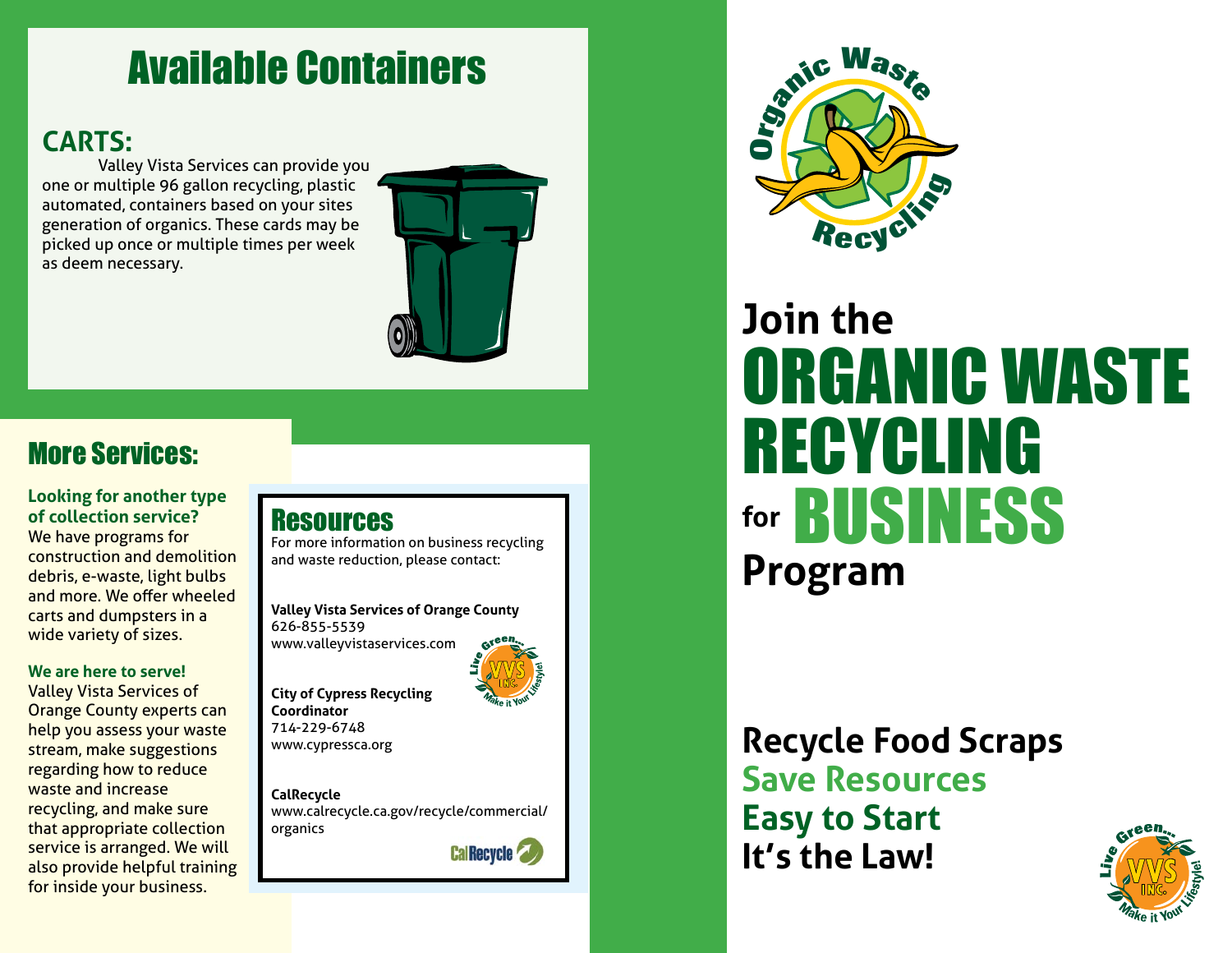# Available Containers

## **CARTS:**

Valley Vista Services can provide you one or multiple 96 gallon recycling, plastic automated, containers based on your sites generation of organics. These cards may be picked up once or multiple times per week as deem necessary.



# More Services:

### **Looking for another type of collection service?**

We have programs for construction and demolition debris, e-waste, light bulbs and more. We offer wheeled carts and dumpsters in a wide variety of sizes.

#### **We are here to serve!**

Valley Vista Services of Orange County experts can help you assess your waste stream, make suggestions regarding how to reduce waste and increase recycling, and make sure that appropriate collection service is arranged. We will also provide helpful training for inside your business.

### **Resources**

For more information on business recycling and waste reduction, please contact:

**Valley Vista Services of Orange County** 626-855-5539 www.valleyvistaservices.com



**City of Cypress Recycling Coordinator** 714-229-6748 www.cypressca.org

**CalRecycle**  www.calrecycle.ca.gov/recycle/commercial/ organics

**Cal Recycle** 



# **Join the** ORGANIC WASTE RECYCLING **for** BUSINESS **Program**

# **Recycle Food Scraps Save Resources Easy to Start It's the Law!**